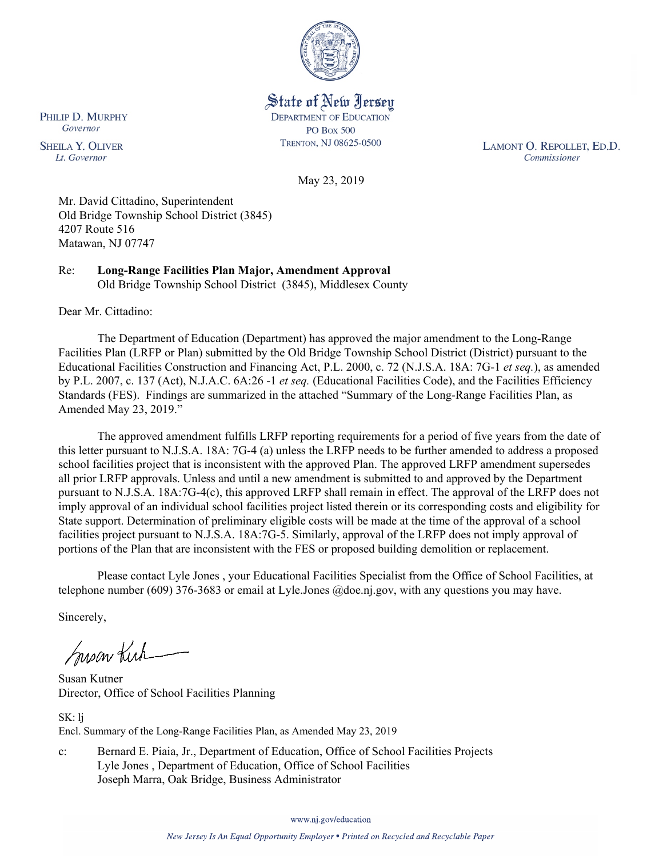

State of New Jersey **DEPARTMENT OF EDUCATION PO Box 500** TRENTON, NJ 08625-0500

LAMONT O. REPOLLET, ED.D. Commissioner

May 23, 2019

Mr. David Cittadino, Superintendent Old Bridge Township School District (3845) 4207 Route 516 Matawan, NJ 07747

Re: **Long-Range Facilities Plan Major, Amendment Approval** Old Bridge Township School District (3845), Middlesex County

Dear Mr. Cittadino:

The Department of Education (Department) has approved the major amendment to the Long-Range Facilities Plan (LRFP or Plan) submitted by the Old Bridge Township School District (District) pursuant to the Educational Facilities Construction and Financing Act, P.L. 2000, c. 72 (N.J.S.A. 18A: 7G-1 *et seq.*), as amended by P.L. 2007, c. 137 (Act), N.J.A.C. 6A:26 -1 *et seq.* (Educational Facilities Code), and the Facilities Efficiency Standards (FES). Findings are summarized in the attached "Summary of the Long-Range Facilities Plan, as Amended May 23, 2019."

The approved amendment fulfills LRFP reporting requirements for a period of five years from the date of this letter pursuant to N.J.S.A. 18A: 7G-4 (a) unless the LRFP needs to be further amended to address a proposed school facilities project that is inconsistent with the approved Plan. The approved LRFP amendment supersedes all prior LRFP approvals. Unless and until a new amendment is submitted to and approved by the Department pursuant to N.J.S.A. 18A:7G-4(c), this approved LRFP shall remain in effect. The approval of the LRFP does not imply approval of an individual school facilities project listed therein or its corresponding costs and eligibility for State support. Determination of preliminary eligible costs will be made at the time of the approval of a school facilities project pursuant to N.J.S.A. 18A:7G-5. Similarly, approval of the LRFP does not imply approval of portions of the Plan that are inconsistent with the FES or proposed building demolition or replacement.

Please contact Lyle Jones , your Educational Facilities Specialist from the Office of School Facilities, at telephone number (609) 376-3683 or email at Lyle.Jones @doe.nj.gov, with any questions you may have.

Sincerely,

Susan Kich

Susan Kutner Director, Office of School Facilities Planning

SK: lj Encl. Summary of the Long-Range Facilities Plan, as Amended May 23, 2019

c: Bernard E. Piaia, Jr., Department of Education, Office of School Facilities Projects Lyle Jones , Department of Education, Office of School Facilities Joseph Marra, Oak Bridge, Business Administrator

www.nj.gov/education

PHILIP D. MURPHY Governor

**SHEILA Y. OLIVER** Lt. Governor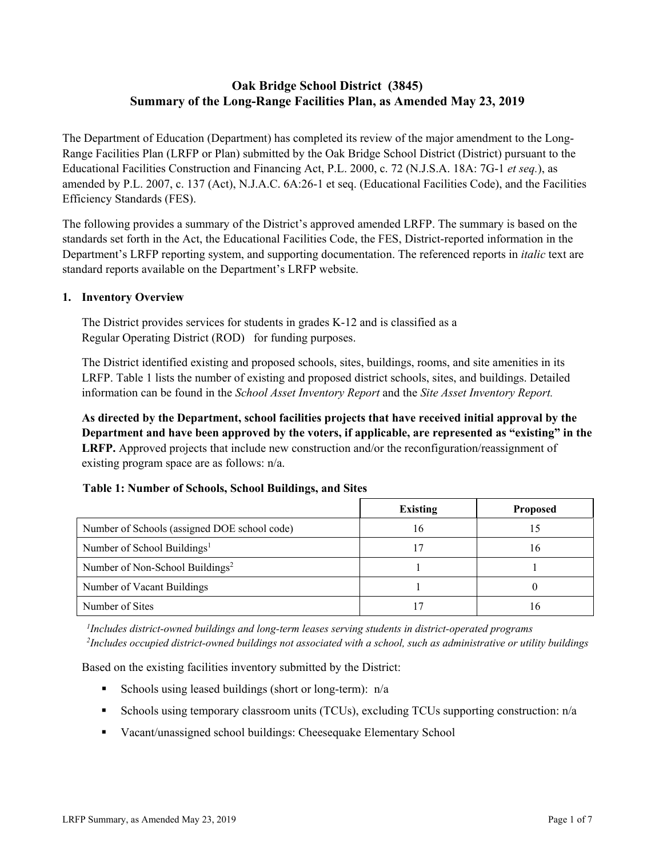# **Oak Bridge School District (3845) Summary of the Long-Range Facilities Plan, as Amended May 23, 2019**

The Department of Education (Department) has completed its review of the major amendment to the Long-Range Facilities Plan (LRFP or Plan) submitted by the Oak Bridge School District (District) pursuant to the Educational Facilities Construction and Financing Act, P.L. 2000, c. 72 (N.J.S.A. 18A: 7G-1 *et seq.*), as amended by P.L. 2007, c. 137 (Act), N.J.A.C. 6A:26-1 et seq. (Educational Facilities Code), and the Facilities Efficiency Standards (FES).

The following provides a summary of the District's approved amended LRFP. The summary is based on the standards set forth in the Act, the Educational Facilities Code, the FES, District-reported information in the Department's LRFP reporting system, and supporting documentation. The referenced reports in *italic* text are standard reports available on the Department's LRFP website.

### **1. Inventory Overview**

The District provides services for students in grades K-12 and is classified as a Regular Operating District (ROD) for funding purposes.

The District identified existing and proposed schools, sites, buildings, rooms, and site amenities in its LRFP. Table 1 lists the number of existing and proposed district schools, sites, and buildings. Detailed information can be found in the *School Asset Inventory Report* and the *Site Asset Inventory Report.*

**As directed by the Department, school facilities projects that have received initial approval by the Department and have been approved by the voters, if applicable, are represented as "existing" in the LRFP.** Approved projects that include new construction and/or the reconfiguration/reassignment of existing program space are as follows: n/a.

# **Table 1: Number of Schools, School Buildings, and Sites**

|                                              | <b>Existing</b> | <b>Proposed</b> |
|----------------------------------------------|-----------------|-----------------|
| Number of Schools (assigned DOE school code) | 16              | 15              |
| Number of School Buildings <sup>1</sup>      | 17              | 16              |
| Number of Non-School Buildings <sup>2</sup>  |                 |                 |
| Number of Vacant Buildings                   |                 |                 |
| Number of Sites                              |                 | 16              |

*1 Includes district-owned buildings and long-term leases serving students in district-operated programs 2 Includes occupied district-owned buildings not associated with a school, such as administrative or utility buildings*

Based on the existing facilities inventory submitted by the District:

- Schools using leased buildings (short or long-term):  $n/a$
- Schools using temporary classroom units (TCUs), excluding TCUs supporting construction: n/a
- Vacant/unassigned school buildings: Cheesequake Elementary School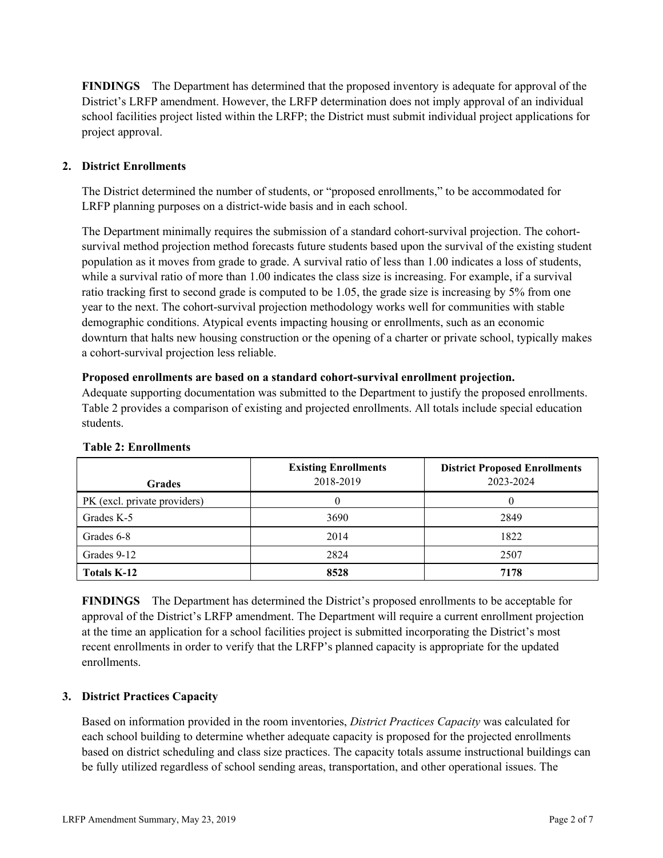**FINDINGS** The Department has determined that the proposed inventory is adequate for approval of the District's LRFP amendment. However, the LRFP determination does not imply approval of an individual school facilities project listed within the LRFP; the District must submit individual project applications for project approval.

# **2. District Enrollments**

The District determined the number of students, or "proposed enrollments," to be accommodated for LRFP planning purposes on a district-wide basis and in each school.

The Department minimally requires the submission of a standard cohort-survival projection. The cohortsurvival method projection method forecasts future students based upon the survival of the existing student population as it moves from grade to grade. A survival ratio of less than 1.00 indicates a loss of students, while a survival ratio of more than 1.00 indicates the class size is increasing. For example, if a survival ratio tracking first to second grade is computed to be 1.05, the grade size is increasing by 5% from one year to the next. The cohort-survival projection methodology works well for communities with stable demographic conditions. Atypical events impacting housing or enrollments, such as an economic downturn that halts new housing construction or the opening of a charter or private school, typically makes a cohort-survival projection less reliable.

#### **Proposed enrollments are based on a standard cohort-survival enrollment projection.**

Adequate supporting documentation was submitted to the Department to justify the proposed enrollments. Table 2 provides a comparison of existing and projected enrollments. All totals include special education students.

| <b>Grades</b>                | <b>Existing Enrollments</b><br>2018-2019 | <b>District Proposed Enrollments</b><br>2023-2024 |
|------------------------------|------------------------------------------|---------------------------------------------------|
| PK (excl. private providers) |                                          |                                                   |
| Grades K-5                   | 3690                                     | 2849                                              |
| Grades 6-8                   | 2014                                     | 1822                                              |
| Grades 9-12                  | 2824                                     | 2507                                              |
| Totals K-12                  | 8528                                     | 7178                                              |

#### **Table 2: Enrollments**

**FINDINGS** The Department has determined the District's proposed enrollments to be acceptable for approval of the District's LRFP amendment. The Department will require a current enrollment projection at the time an application for a school facilities project is submitted incorporating the District's most recent enrollments in order to verify that the LRFP's planned capacity is appropriate for the updated enrollments.

# **3. District Practices Capacity**

Based on information provided in the room inventories, *District Practices Capacity* was calculated for each school building to determine whether adequate capacity is proposed for the projected enrollments based on district scheduling and class size practices. The capacity totals assume instructional buildings can be fully utilized regardless of school sending areas, transportation, and other operational issues. The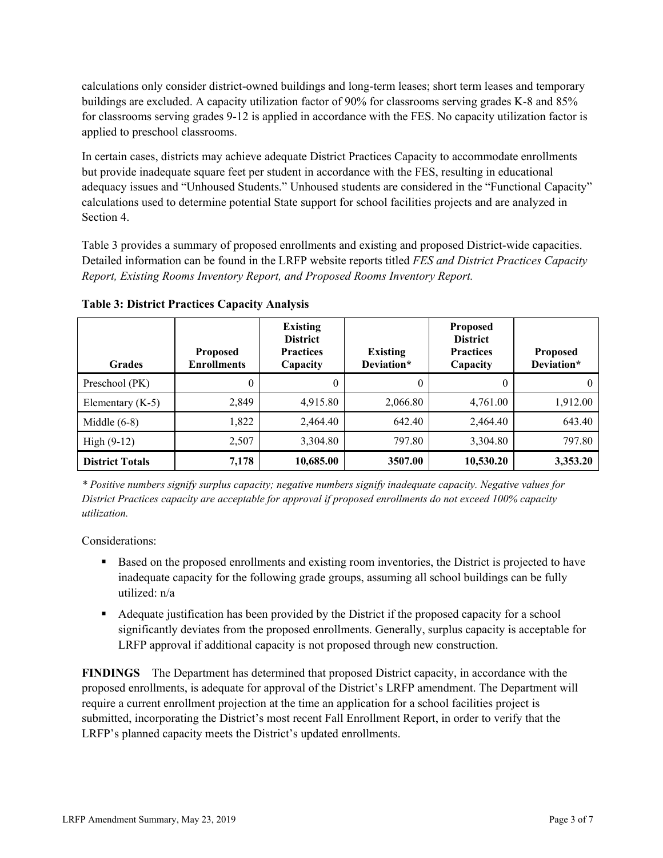calculations only consider district-owned buildings and long-term leases; short term leases and temporary buildings are excluded. A capacity utilization factor of 90% for classrooms serving grades K-8 and 85% for classrooms serving grades 9-12 is applied in accordance with the FES. No capacity utilization factor is applied to preschool classrooms.

In certain cases, districts may achieve adequate District Practices Capacity to accommodate enrollments but provide inadequate square feet per student in accordance with the FES, resulting in educational adequacy issues and "Unhoused Students." Unhoused students are considered in the "Functional Capacity" calculations used to determine potential State support for school facilities projects and are analyzed in Section 4.

Table 3 provides a summary of proposed enrollments and existing and proposed District-wide capacities. Detailed information can be found in the LRFP website reports titled *FES and District Practices Capacity Report, Existing Rooms Inventory Report, and Proposed Rooms Inventory Report.*

| <b>Grades</b>          | <b>Proposed</b><br><b>Enrollments</b> | <b>Existing</b><br><b>District</b><br><b>Practices</b><br>Capacity | <b>Existing</b><br>Deviation* | <b>Proposed</b><br><b>District</b><br><b>Practices</b><br>Capacity | <b>Proposed</b><br>Deviation* |
|------------------------|---------------------------------------|--------------------------------------------------------------------|-------------------------------|--------------------------------------------------------------------|-------------------------------|
| Preschool (PK)         | 0                                     | 0                                                                  | 0                             | $\theta$                                                           |                               |
| Elementary $(K-5)$     | 2.849                                 | 4,915.80                                                           | 2,066.80                      | 4,761.00                                                           | 1,912.00                      |
| Middle $(6-8)$         | 1,822                                 | 2.464.40                                                           | 642.40                        | 2.464.40                                                           | 643.40                        |
| $High (9-12)$          | 2,507                                 | 3,304.80                                                           | 797.80                        | 3,304.80                                                           | 797.80                        |
| <b>District Totals</b> | 7,178                                 | 10,685.00                                                          | 3507.00                       | 10,530.20                                                          | 3,353.20                      |

**Table 3: District Practices Capacity Analysis**

*\* Positive numbers signify surplus capacity; negative numbers signify inadequate capacity. Negative values for District Practices capacity are acceptable for approval if proposed enrollments do not exceed 100% capacity utilization.*

Considerations:

- Based on the proposed enrollments and existing room inventories, the District is projected to have inadequate capacity for the following grade groups, assuming all school buildings can be fully utilized: n/a
- Adequate justification has been provided by the District if the proposed capacity for a school significantly deviates from the proposed enrollments. Generally, surplus capacity is acceptable for LRFP approval if additional capacity is not proposed through new construction.

**FINDINGS**The Department has determined that proposed District capacity, in accordance with the proposed enrollments, is adequate for approval of the District's LRFP amendment. The Department will require a current enrollment projection at the time an application for a school facilities project is submitted, incorporating the District's most recent Fall Enrollment Report, in order to verify that the LRFP's planned capacity meets the District's updated enrollments.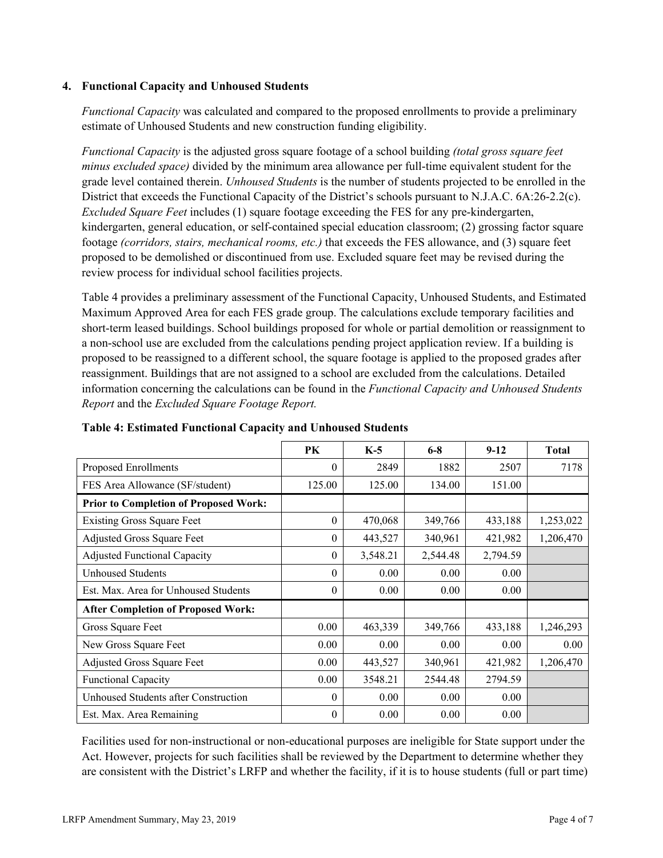### **4. Functional Capacity and Unhoused Students**

*Functional Capacity* was calculated and compared to the proposed enrollments to provide a preliminary estimate of Unhoused Students and new construction funding eligibility.

*Functional Capacity* is the adjusted gross square footage of a school building *(total gross square feet minus excluded space)* divided by the minimum area allowance per full-time equivalent student for the grade level contained therein. *Unhoused Students* is the number of students projected to be enrolled in the District that exceeds the Functional Capacity of the District's schools pursuant to N.J.A.C. 6A:26-2.2(c). *Excluded Square Feet* includes (1) square footage exceeding the FES for any pre-kindergarten, kindergarten, general education, or self-contained special education classroom; (2) grossing factor square footage *(corridors, stairs, mechanical rooms, etc.)* that exceeds the FES allowance, and (3) square feet proposed to be demolished or discontinued from use. Excluded square feet may be revised during the review process for individual school facilities projects.

Table 4 provides a preliminary assessment of the Functional Capacity, Unhoused Students, and Estimated Maximum Approved Area for each FES grade group. The calculations exclude temporary facilities and short-term leased buildings. School buildings proposed for whole or partial demolition or reassignment to a non-school use are excluded from the calculations pending project application review. If a building is proposed to be reassigned to a different school, the square footage is applied to the proposed grades after reassignment. Buildings that are not assigned to a school are excluded from the calculations. Detailed information concerning the calculations can be found in the *Functional Capacity and Unhoused Students Report* and the *Excluded Square Footage Report.*

|                                              | PK       | $K-5$    | $6 - 8$  | $9-12$   | <b>Total</b> |
|----------------------------------------------|----------|----------|----------|----------|--------------|
| Proposed Enrollments                         | 0        | 2849     | 1882     | 2507     | 7178         |
| FES Area Allowance (SF/student)              | 125.00   | 125.00   | 134.00   | 151.00   |              |
| <b>Prior to Completion of Proposed Work:</b> |          |          |          |          |              |
| <b>Existing Gross Square Feet</b>            | 0        | 470,068  | 349,766  | 433,188  | 1,253,022    |
| Adjusted Gross Square Feet                   | $\theta$ | 443,527  | 340,961  | 421,982  | 1,206,470    |
| Adjusted Functional Capacity                 | 0        | 3,548.21 | 2,544.48 | 2,794.59 |              |
| <b>Unhoused Students</b>                     | $\theta$ | 0.00     | 0.00     | 0.00     |              |
| Est. Max. Area for Unhoused Students         | 0        | 0.00     | 0.00     | 0.00     |              |
| <b>After Completion of Proposed Work:</b>    |          |          |          |          |              |
| Gross Square Feet                            | 0.00     | 463,339  | 349,766  | 433,188  | 1,246,293    |
| New Gross Square Feet                        | 0.00     | 0.00     | 0.00     | 0.00     | 0.00         |
| Adjusted Gross Square Feet                   | 0.00     | 443,527  | 340,961  | 421,982  | 1,206,470    |
| <b>Functional Capacity</b>                   | 0.00     | 3548.21  | 2544.48  | 2794.59  |              |
| Unhoused Students after Construction         | 0        | 0.00     | 0.00     | 0.00     |              |
| Est. Max. Area Remaining                     | $\theta$ | 0.00     | 0.00     | 0.00     |              |

**Table 4: Estimated Functional Capacity and Unhoused Students** 

Facilities used for non-instructional or non-educational purposes are ineligible for State support under the Act. However, projects for such facilities shall be reviewed by the Department to determine whether they are consistent with the District's LRFP and whether the facility, if it is to house students (full or part time)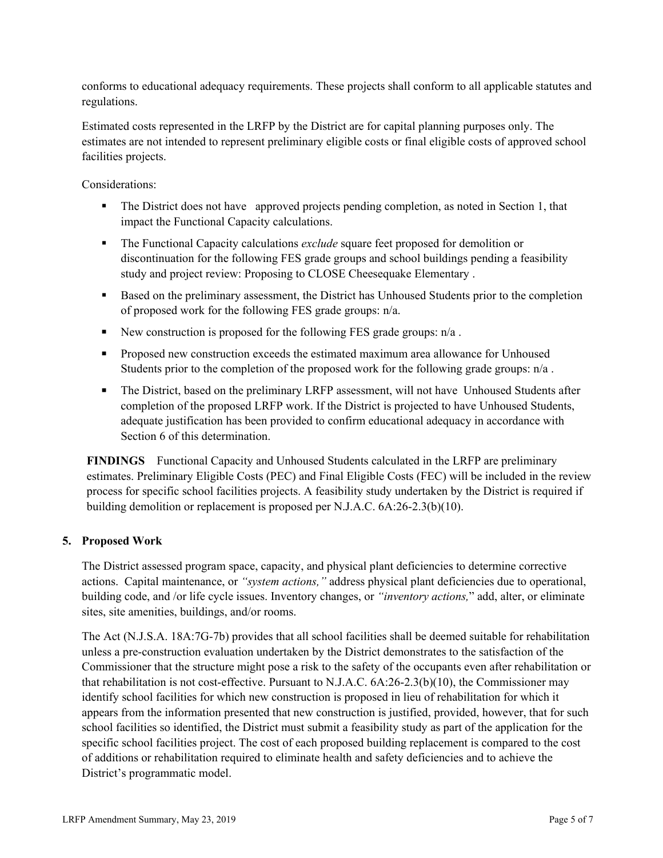conforms to educational adequacy requirements. These projects shall conform to all applicable statutes and regulations.

Estimated costs represented in the LRFP by the District are for capital planning purposes only. The estimates are not intended to represent preliminary eligible costs or final eligible costs of approved school facilities projects.

Considerations:

- The District does not have approved projects pending completion, as noted in Section 1, that impact the Functional Capacity calculations.
- The Functional Capacity calculations *exclude* square feet proposed for demolition or discontinuation for the following FES grade groups and school buildings pending a feasibility study and project review: Proposing to CLOSE Cheesequake Elementary .
- Based on the preliminary assessment, the District has Unhoused Students prior to the completion of proposed work for the following FES grade groups: n/a.
- New construction is proposed for the following FES grade groups:  $n/a$ .
- **Proposed new construction exceeds the estimated maximum area allowance for Unhoused** Students prior to the completion of the proposed work for the following grade groups: n/a .
- The District, based on the preliminary LRFP assessment, will not have Unhoused Students after completion of the proposed LRFP work. If the District is projected to have Unhoused Students, adequate justification has been provided to confirm educational adequacy in accordance with Section 6 of this determination.

**FINDINGS** Functional Capacity and Unhoused Students calculated in the LRFP are preliminary estimates. Preliminary Eligible Costs (PEC) and Final Eligible Costs (FEC) will be included in the review process for specific school facilities projects. A feasibility study undertaken by the District is required if building demolition or replacement is proposed per N.J.A.C. 6A:26-2.3(b)(10).

# **5. Proposed Work**

The District assessed program space, capacity, and physical plant deficiencies to determine corrective actions. Capital maintenance, or *"system actions,"* address physical plant deficiencies due to operational, building code, and /or life cycle issues. Inventory changes, or *"inventory actions,*" add, alter, or eliminate sites, site amenities, buildings, and/or rooms.

The Act (N.J.S.A. 18A:7G-7b) provides that all school facilities shall be deemed suitable for rehabilitation unless a pre-construction evaluation undertaken by the District demonstrates to the satisfaction of the Commissioner that the structure might pose a risk to the safety of the occupants even after rehabilitation or that rehabilitation is not cost-effective. Pursuant to N.J.A.C. 6A:26-2.3(b)(10), the Commissioner may identify school facilities for which new construction is proposed in lieu of rehabilitation for which it appears from the information presented that new construction is justified, provided, however, that for such school facilities so identified, the District must submit a feasibility study as part of the application for the specific school facilities project. The cost of each proposed building replacement is compared to the cost of additions or rehabilitation required to eliminate health and safety deficiencies and to achieve the District's programmatic model.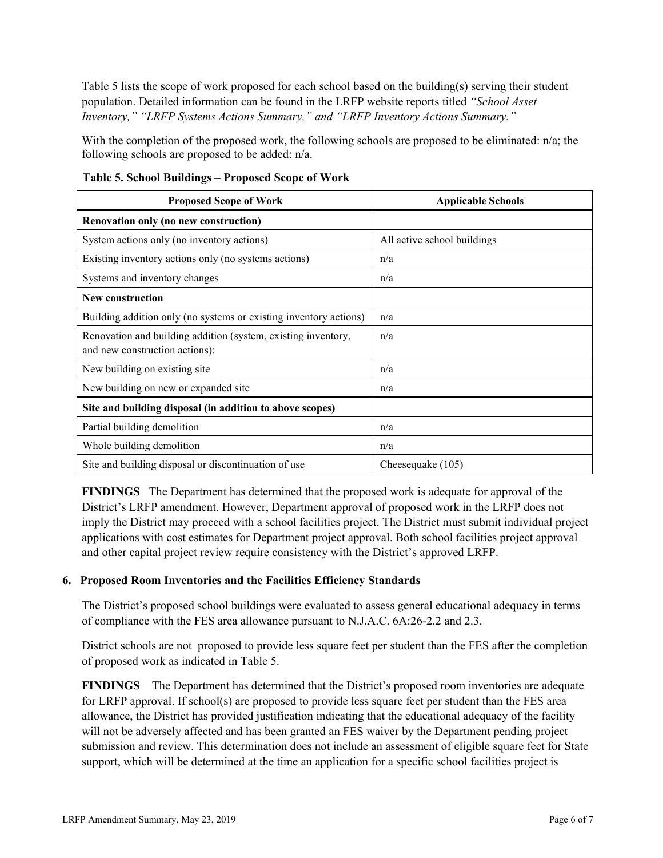Table 5 lists the scope of work proposed for each school based on the building(s) serving their student population. Detailed information can be found in the LRFP website reports titled *"School Asset Inventory," "LRFP Systems Actions Summary," and "LRFP Inventory Actions Summary."*

With the completion of the proposed work, the following schools are proposed to be eliminated: n/a; the following schools are proposed to be added: n/a.

| <b>Proposed Scope of Work</b>                                                                   | <b>Applicable Schools</b>   |
|-------------------------------------------------------------------------------------------------|-----------------------------|
| <b>Renovation only (no new construction)</b>                                                    |                             |
| System actions only (no inventory actions)                                                      | All active school buildings |
| Existing inventory actions only (no systems actions)                                            | n/a                         |
| Systems and inventory changes                                                                   | n/a                         |
| <b>New construction</b>                                                                         |                             |
| Building addition only (no systems or existing inventory actions)                               | n/a                         |
| Renovation and building addition (system, existing inventory,<br>and new construction actions): | n/a                         |
| New building on existing site                                                                   | n/a                         |
| New building on new or expanded site                                                            | n/a                         |
| Site and building disposal (in addition to above scopes)                                        |                             |
| Partial building demolition                                                                     | n/a                         |
| Whole building demolition                                                                       | n/a                         |
| Site and building disposal or discontinuation of use                                            | Cheesequake (105)           |

**Table 5. School Buildings – Proposed Scope of Work**

**FINDINGS** The Department has determined that the proposed work is adequate for approval of the District's LRFP amendment. However, Department approval of proposed work in the LRFP does not imply the District may proceed with a school facilities project. The District must submit individual project applications with cost estimates for Department project approval. Both school facilities project approval and other capital project review require consistency with the District's approved LRFP.

# **6. Proposed Room Inventories and the Facilities Efficiency Standards**

The District's proposed school buildings were evaluated to assess general educational adequacy in terms of compliance with the FES area allowance pursuant to N.J.A.C. 6A:26-2.2 and 2.3.

District schools are not proposed to provide less square feet per student than the FES after the completion of proposed work as indicated in Table 5.

**FINDINGS** The Department has determined that the District's proposed room inventories are adequate for LRFP approval. If school(s) are proposed to provide less square feet per student than the FES area allowance, the District has provided justification indicating that the educational adequacy of the facility will not be adversely affected and has been granted an FES waiver by the Department pending project submission and review. This determination does not include an assessment of eligible square feet for State support, which will be determined at the time an application for a specific school facilities project is